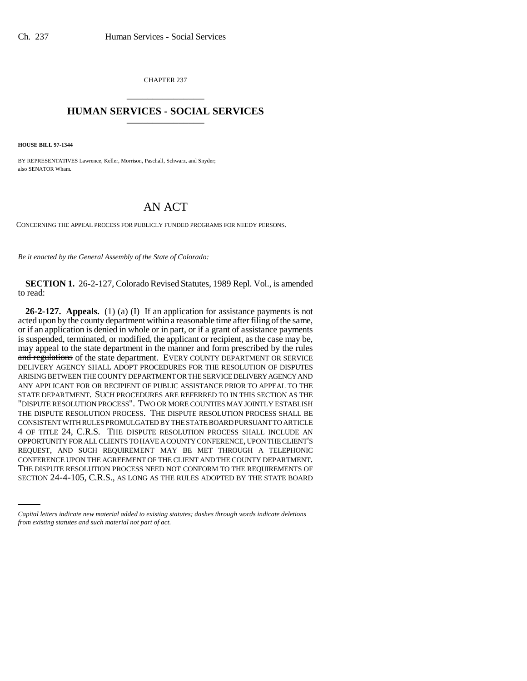CHAPTER 237 \_\_\_\_\_\_\_\_\_\_\_\_\_\_\_

## **HUMAN SERVICES - SOCIAL SERVICES** \_\_\_\_\_\_\_\_\_\_\_\_\_\_\_

**HOUSE BILL 97-1344**

BY REPRESENTATIVES Lawrence, Keller, Morrison, Paschall, Schwarz, and Snyder; also SENATOR Wham.

## AN ACT

CONCERNING THE APPEAL PROCESS FOR PUBLICLY FUNDED PROGRAMS FOR NEEDY PERSONS.

*Be it enacted by the General Assembly of the State of Colorado:*

**SECTION 1.** 26-2-127, Colorado Revised Statutes, 1989 Repl. Vol., is amended to read:

CONFERENCE UPON THE AGREEMENT OF THE CLIENT AND THE COUNTY DEPARTMENT. **26-2-127. Appeals.** (1) (a) (I) If an application for assistance payments is not acted upon by the county department within a reasonable time after filing of the same, or if an application is denied in whole or in part, or if a grant of assistance payments is suspended, terminated, or modified, the applicant or recipient, as the case may be, may appeal to the state department in the manner and form prescribed by the rules and regulations of the state department. EVERY COUNTY DEPARTMENT OR SERVICE DELIVERY AGENCY SHALL ADOPT PROCEDURES FOR THE RESOLUTION OF DISPUTES ARISING BETWEEN THE COUNTY DEPARTMENT OR THE SERVICE DELIVERY AGENCY AND ANY APPLICANT FOR OR RECIPIENT OF PUBLIC ASSISTANCE PRIOR TO APPEAL TO THE STATE DEPARTMENT. SUCH PROCEDURES ARE REFERRED TO IN THIS SECTION AS THE "DISPUTE RESOLUTION PROCESS". TWO OR MORE COUNTIES MAY JOINTLY ESTABLISH THE DISPUTE RESOLUTION PROCESS. THE DISPUTE RESOLUTION PROCESS SHALL BE CONSISTENT WITH RULES PROMULGATED BY THE STATE BOARD PURSUANT TO ARTICLE 4 OF TITLE 24, C.R.S. THE DISPUTE RESOLUTION PROCESS SHALL INCLUDE AN OPPORTUNITY FOR ALL CLIENTS TO HAVE A COUNTY CONFERENCE, UPON THE CLIENT'S REQUEST, AND SUCH REQUIREMENT MAY BE MET THROUGH A TELEPHONIC THE DISPUTE RESOLUTION PROCESS NEED NOT CONFORM TO THE REQUIREMENTS OF SECTION 24-4-105, C.R.S., AS LONG AS THE RULES ADOPTED BY THE STATE BOARD

*Capital letters indicate new material added to existing statutes; dashes through words indicate deletions from existing statutes and such material not part of act.*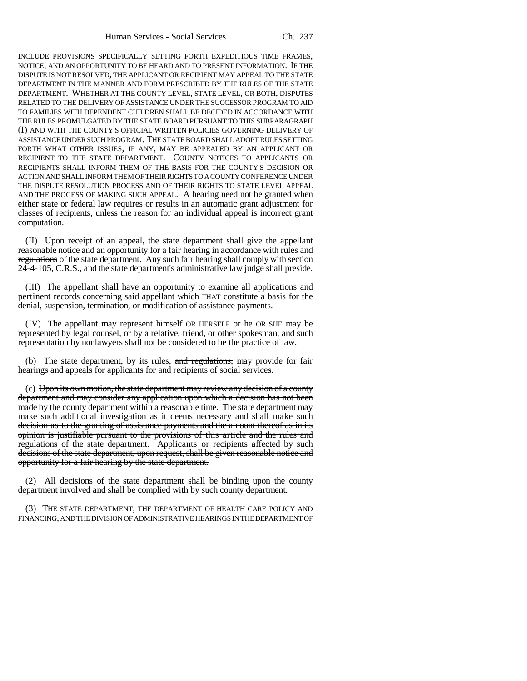INCLUDE PROVISIONS SPECIFICALLY SETTING FORTH EXPEDITIOUS TIME FRAMES, NOTICE, AND AN OPPORTUNITY TO BE HEARD AND TO PRESENT INFORMATION. IF THE DISPUTE IS NOT RESOLVED, THE APPLICANT OR RECIPIENT MAY APPEAL TO THE STATE DEPARTMENT IN THE MANNER AND FORM PRESCRIBED BY THE RULES OF THE STATE DEPARTMENT. WHETHER AT THE COUNTY LEVEL, STATE LEVEL, OR BOTH, DISPUTES RELATED TO THE DELIVERY OF ASSISTANCE UNDER THE SUCCESSOR PROGRAM TO AID TO FAMILIES WITH DEPENDENT CHILDREN SHALL BE DECIDED IN ACCORDANCE WITH THE RULES PROMULGATED BY THE STATE BOARD PURSUANT TO THIS SUBPARAGRAPH (I) AND WITH THE COUNTY'S OFFICIAL WRITTEN POLICIES GOVERNING DELIVERY OF ASSISTANCE UNDER SUCH PROGRAM. THE STATE BOARD SHALL ADOPT RULES SETTING FORTH WHAT OTHER ISSUES, IF ANY, MAY BE APPEALED BY AN APPLICANT OR RECIPIENT TO THE STATE DEPARTMENT. COUNTY NOTICES TO APPLICANTS OR RECIPIENTS SHALL INFORM THEM OF THE BASIS FOR THE COUNTY'S DECISION OR ACTION AND SHALL INFORM THEM OF THEIR RIGHTS TO A COUNTY CONFERENCE UNDER THE DISPUTE RESOLUTION PROCESS AND OF THEIR RIGHTS TO STATE LEVEL APPEAL AND THE PROCESS OF MAKING SUCH APPEAL. A hearing need not be granted when either state or federal law requires or results in an automatic grant adjustment for classes of recipients, unless the reason for an individual appeal is incorrect grant computation.

(II) Upon receipt of an appeal, the state department shall give the appellant reasonable notice and an opportunity for a fair hearing in accordance with rules and regulations of the state department. Any such fair hearing shall comply with section 24-4-105, C.R.S., and the state department's administrative law judge shall preside.

(III) The appellant shall have an opportunity to examine all applications and pertinent records concerning said appellant which THAT constitute a basis for the denial, suspension, termination, or modification of assistance payments.

(IV) The appellant may represent himself OR HERSELF or he OR SHE may be represented by legal counsel, or by a relative, friend, or other spokesman, and such representation by nonlawyers shall not be considered to be the practice of law.

(b) The state department, by its rules, and regulations, may provide for fair hearings and appeals for applicants for and recipients of social services.

(c) Upon its own motion, the state department may review any decision of a county department and may consider any application upon which a decision has not been made by the county department within a reasonable time. The state department may make such additional investigation as it deems necessary and shall make such decision as to the granting of assistance payments and the amount thereof as in its opinion is justifiable pursuant to the provisions of this article and the rules and regulations of the state department. Applicants or recipients affected by such decisions of the state department, upon request, shall be given reasonable notice and opportunity for a fair hearing by the state department.

(2) All decisions of the state department shall be binding upon the county department involved and shall be complied with by such county department.

(3) THE STATE DEPARTMENT, THE DEPARTMENT OF HEALTH CARE POLICY AND FINANCING, AND THE DIVISION OF ADMINISTRATIVE HEARINGS IN THE DEPARTMENT OF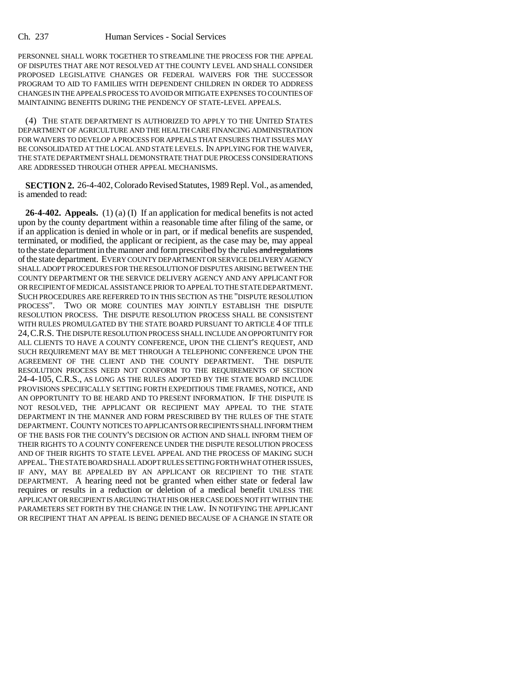PERSONNEL SHALL WORK TOGETHER TO STREAMLINE THE PROCESS FOR THE APPEAL OF DISPUTES THAT ARE NOT RESOLVED AT THE COUNTY LEVEL AND SHALL CONSIDER PROPOSED LEGISLATIVE CHANGES OR FEDERAL WAIVERS FOR THE SUCCESSOR PROGRAM TO AID TO FAMILIES WITH DEPENDENT CHILDREN IN ORDER TO ADDRESS CHANGES IN THE APPEALS PROCESS TO AVOID OR MITIGATE EXPENSES TO COUNTIES OF MAINTAINING BENEFITS DURING THE PENDENCY OF STATE-LEVEL APPEALS.

(4) THE STATE DEPARTMENT IS AUTHORIZED TO APPLY TO THE UNITED STATES DEPARTMENT OF AGRICULTURE AND THE HEALTH CARE FINANCING ADMINISTRATION FOR WAIVERS TO DEVELOP A PROCESS FOR APPEALS THAT ENSURES THAT ISSUES MAY BE CONSOLIDATED AT THE LOCAL AND STATE LEVELS. IN APPLYING FOR THE WAIVER, THE STATE DEPARTMENT SHALL DEMONSTRATE THAT DUE PROCESS CONSIDERATIONS ARE ADDRESSED THROUGH OTHER APPEAL MECHANISMS.

**SECTION 2.** 26-4-402, Colorado Revised Statutes, 1989 Repl. Vol., as amended, is amended to read:

**26-4-402. Appeals.** (1) (a) (I) If an application for medical benefits is not acted upon by the county department within a reasonable time after filing of the same, or if an application is denied in whole or in part, or if medical benefits are suspended, terminated, or modified, the applicant or recipient, as the case may be, may appeal to the state department in the manner and form prescribed by the rules and regulations of the state department. EVERY COUNTY DEPARTMENT OR SERVICE DELIVERY AGENCY SHALL ADOPT PROCEDURES FOR THE RESOLUTION OF DISPUTES ARISING BETWEEN THE COUNTY DEPARTMENT OR THE SERVICE DELIVERY AGENCY AND ANY APPLICANT FOR OR RECIPIENT OF MEDICAL ASSISTANCE PRIOR TO APPEAL TO THE STATE DEPARTMENT. SUCH PROCEDURES ARE REFERRED TO IN THIS SECTION AS THE "DISPUTE RESOLUTION PROCESS". TWO OR MORE COUNTIES MAY JOINTLY ESTABLISH THE DISPUTE RESOLUTION PROCESS. THE DISPUTE RESOLUTION PROCESS SHALL BE CONSISTENT WITH RULES PROMULGATED BY THE STATE BOARD PURSUANT TO ARTICLE 4 OF TITLE 24,C.R.S. THE DISPUTE RESOLUTION PROCESS SHALL INCLUDE AN OPPORTUNITY FOR ALL CLIENTS TO HAVE A COUNTY CONFERENCE, UPON THE CLIENT'S REQUEST, AND SUCH REQUIREMENT MAY BE MET THROUGH A TELEPHONIC CONFERENCE UPON THE AGREEMENT OF THE CLIENT AND THE COUNTY DEPARTMENT. THE DISPUTE RESOLUTION PROCESS NEED NOT CONFORM TO THE REQUIREMENTS OF SECTION 24-4-105, C.R.S., AS LONG AS THE RULES ADOPTED BY THE STATE BOARD INCLUDE PROVISIONS SPECIFICALLY SETTING FORTH EXPEDITIOUS TIME FRAMES, NOTICE, AND AN OPPORTUNITY TO BE HEARD AND TO PRESENT INFORMATION. IF THE DISPUTE IS NOT RESOLVED, THE APPLICANT OR RECIPIENT MAY APPEAL TO THE STATE DEPARTMENT IN THE MANNER AND FORM PRESCRIBED BY THE RULES OF THE STATE DEPARTMENT. COUNTY NOTICES TO APPLICANTS OR RECIPIENTS SHALL INFORM THEM OF THE BASIS FOR THE COUNTY'S DECISION OR ACTION AND SHALL INFORM THEM OF THEIR RIGHTS TO A COUNTY CONFERENCE UNDER THE DISPUTE RESOLUTION PROCESS AND OF THEIR RIGHTS TO STATE LEVEL APPEAL AND THE PROCESS OF MAKING SUCH APPEAL. THE STATE BOARD SHALL ADOPT RULES SETTING FORTH WHAT OTHER ISSUES, IF ANY, MAY BE APPEALED BY AN APPLICANT OR RECIPIENT TO THE STATE DEPARTMENT. A hearing need not be granted when either state or federal law requires or results in a reduction or deletion of a medical benefit UNLESS THE APPLICANT OR RECIPIENT IS ARGUING THAT HIS OR HER CASE DOES NOT FIT WITHIN THE PARAMETERS SET FORTH BY THE CHANGE IN THE LAW. IN NOTIFYING THE APPLICANT OR RECIPIENT THAT AN APPEAL IS BEING DENIED BECAUSE OF A CHANGE IN STATE OR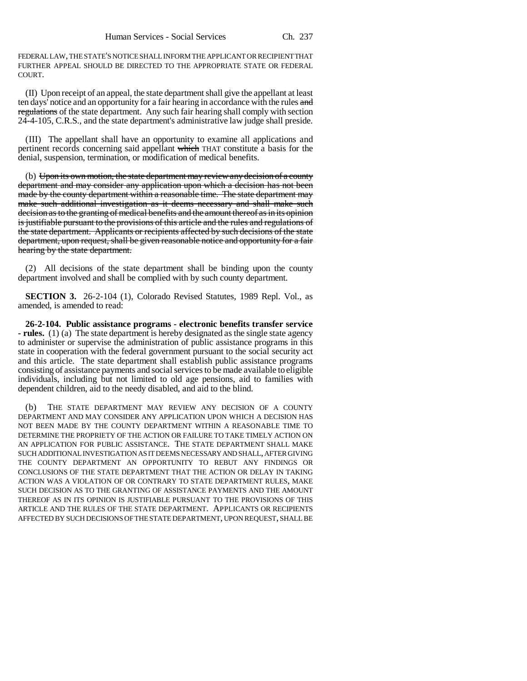FEDERAL LAW, THE STATE'S NOTICE SHALL INFORM THE APPLICANT OR RECIPIENT THAT FURTHER APPEAL SHOULD BE DIRECTED TO THE APPROPRIATE STATE OR FEDERAL COURT.

(II) Upon receipt of an appeal, the state department shall give the appellant at least ten days' notice and an opportunity for a fair hearing in accordance with the rules and regulations of the state department. Any such fair hearing shall comply with section 24-4-105, C.R.S., and the state department's administrative law judge shall preside.

(III) The appellant shall have an opportunity to examine all applications and pertinent records concerning said appellant which THAT constitute a basis for the denial, suspension, termination, or modification of medical benefits.

(b) Upon its own motion, the state department may review any decision of a county department and may consider any application upon which a decision has not been made by the county department within a reasonable time. The state department may make such additional investigation as it deems necessary and shall make such decision as to the granting of medical benefits and the amount thereof as in its opinion is justifiable pursuant to the provisions of this article and the rules and regulations of the state department. Applicants or recipients affected by such decisions of the state department, upon request, shall be given reasonable notice and opportunity for a fair hearing by the state department.

(2) All decisions of the state department shall be binding upon the county department involved and shall be complied with by such county department.

**SECTION 3.** 26-2-104 (1), Colorado Revised Statutes, 1989 Repl. Vol., as amended, is amended to read:

**26-2-104. Public assistance programs - electronic benefits transfer service - rules.** (1) (a) The state department is hereby designated as the single state agency to administer or supervise the administration of public assistance programs in this state in cooperation with the federal government pursuant to the social security act and this article. The state department shall establish public assistance programs consisting of assistance payments and social services to be made available to eligible individuals, including but not limited to old age pensions, aid to families with dependent children, aid to the needy disabled, and aid to the blind.

(b) THE STATE DEPARTMENT MAY REVIEW ANY DECISION OF A COUNTY DEPARTMENT AND MAY CONSIDER ANY APPLICATION UPON WHICH A DECISION HAS NOT BEEN MADE BY THE COUNTY DEPARTMENT WITHIN A REASONABLE TIME TO DETERMINE THE PROPRIETY OF THE ACTION OR FAILURE TO TAKE TIMELY ACTION ON AN APPLICATION FOR PUBLIC ASSISTANCE. THE STATE DEPARTMENT SHALL MAKE SUCH ADDITIONAL INVESTIGATION AS IT DEEMS NECESSARY AND SHALL, AFTER GIVING THE COUNTY DEPARTMENT AN OPPORTUNITY TO REBUT ANY FINDINGS OR CONCLUSIONS OF THE STATE DEPARTMENT THAT THE ACTION OR DELAY IN TAKING ACTION WAS A VIOLATION OF OR CONTRARY TO STATE DEPARTMENT RULES, MAKE SUCH DECISION AS TO THE GRANTING OF ASSISTANCE PAYMENTS AND THE AMOUNT THEREOF AS IN ITS OPINION IS JUSTIFIABLE PURSUANT TO THE PROVISIONS OF THIS ARTICLE AND THE RULES OF THE STATE DEPARTMENT. APPLICANTS OR RECIPIENTS AFFECTED BY SUCH DECISIONS OF THE STATE DEPARTMENT, UPON REQUEST, SHALL BE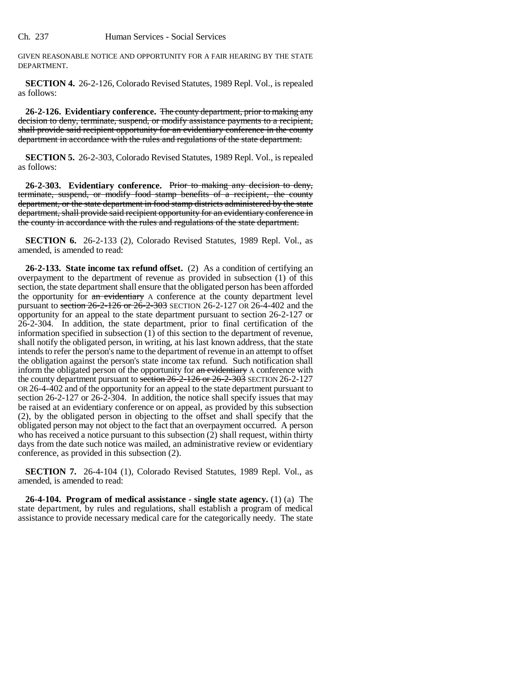GIVEN REASONABLE NOTICE AND OPPORTUNITY FOR A FAIR HEARING BY THE STATE DEPARTMENT.

**SECTION 4.** 26-2-126, Colorado Revised Statutes, 1989 Repl. Vol., is repealed as follows:

**26-2-126. Evidentiary conference.** The county department, prior to making any decision to deny, terminate, suspend, or modify assistance payments to a recipient, shall provide said recipient opportunity for an evidentiary conference in the county department in accordance with the rules and regulations of the state department.

**SECTION 5.** 26-2-303, Colorado Revised Statutes, 1989 Repl. Vol., is repealed as follows:

**26-2-303. Evidentiary conference.** Prior to making any decision to deny, terminate, suspend, or modify food stamp benefits of a recipient, the county department, or the state department in food stamp districts administered by the state department, shall provide said recipient opportunity for an evidentiary conference in the county in accordance with the rules and regulations of the state department.

**SECTION 6.** 26-2-133 (2), Colorado Revised Statutes, 1989 Repl. Vol., as amended, is amended to read:

**26-2-133. State income tax refund offset.** (2) As a condition of certifying an overpayment to the department of revenue as provided in subsection (1) of this section, the state department shall ensure that the obligated person has been afforded the opportunity for an evidentiary A conference at the county department level pursuant to section 26-2-126 or 26-2-303 SECTION 26-2-127 OR 26-4-402 and the opportunity for an appeal to the state department pursuant to section 26-2-127 or 26-2-304. In addition, the state department, prior to final certification of the information specified in subsection (1) of this section to the department of revenue, shall notify the obligated person, in writing, at his last known address, that the state intends to refer the person's name to the department of revenue in an attempt to offset the obligation against the person's state income tax refund. Such notification shall inform the obligated person of the opportunity for an evidentiary A conference with the county department pursuant to section 26-2-126 or 26-2-303 SECTION 26-2-127 OR 26-4-402 and of the opportunity for an appeal to the state department pursuant to section 26-2-127 or 26-2-304. In addition, the notice shall specify issues that may be raised at an evidentiary conference or on appeal, as provided by this subsection (2), by the obligated person in objecting to the offset and shall specify that the obligated person may not object to the fact that an overpayment occurred. A person who has received a notice pursuant to this subsection  $(2)$  shall request, within thirty days from the date such notice was mailed, an administrative review or evidentiary conference, as provided in this subsection (2).

**SECTION 7.** 26-4-104 (1), Colorado Revised Statutes, 1989 Repl. Vol., as amended, is amended to read:

**26-4-104. Program of medical assistance - single state agency.** (1) (a) The state department, by rules and regulations, shall establish a program of medical assistance to provide necessary medical care for the categorically needy. The state